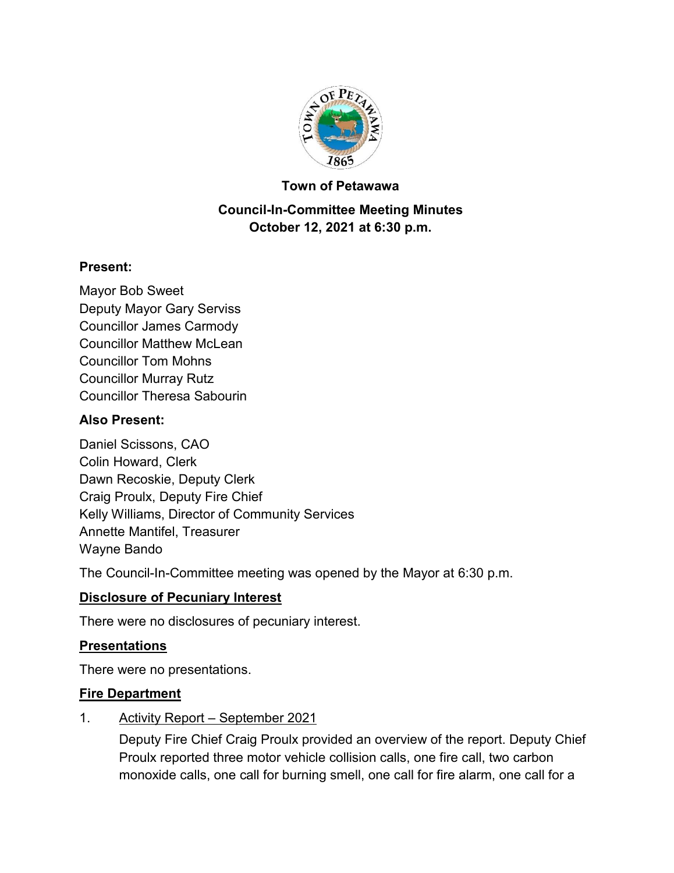

#### **Town of Petawawa**

# **Council-In-Committee Meeting Minutes October 12, 2021 at 6:30 p.m.**

## **Present:**

Mayor Bob Sweet Deputy Mayor Gary Serviss Councillor James Carmody Councillor Matthew McLean Councillor Tom Mohns Councillor Murray Rutz Councillor Theresa Sabourin

## **Also Present:**

Daniel Scissons, CAO Colin Howard, Clerk Dawn Recoskie, Deputy Clerk Craig Proulx, Deputy Fire Chief Kelly Williams, Director of Community Services Annette Mantifel, Treasurer Wayne Bando

The Council-In-Committee meeting was opened by the Mayor at 6:30 p.m.

# **Disclosure of Pecuniary Interest**

There were no disclosures of pecuniary interest.

# **Presentations**

There were no presentations.

## **Fire Department**

1. Activity Report – September 2021

Deputy Fire Chief Craig Proulx provided an overview of the report. Deputy Chief Proulx reported three motor vehicle collision calls, one fire call, two carbon monoxide calls, one call for burning smell, one call for fire alarm, one call for a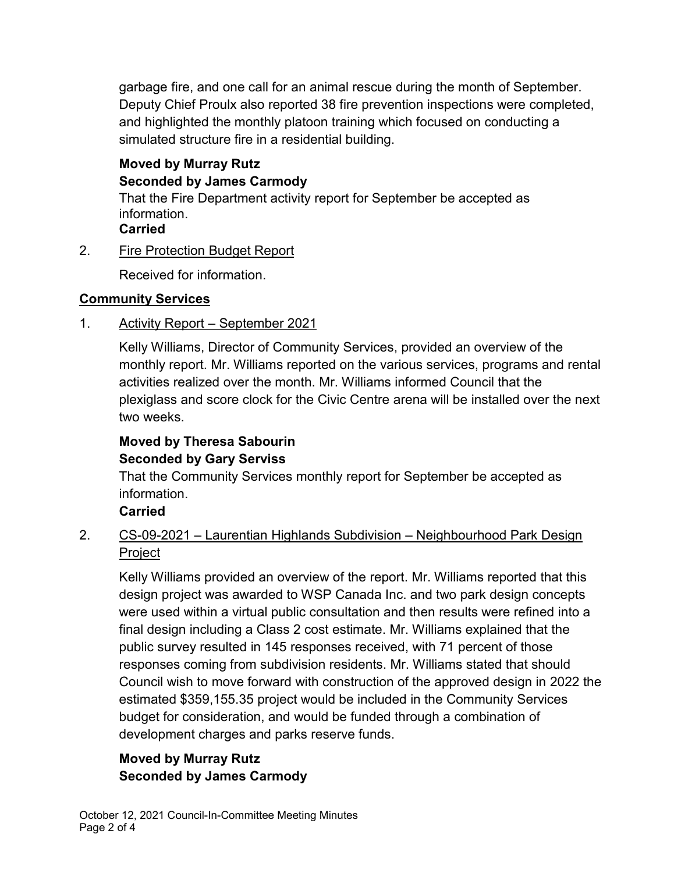garbage fire, and one call for an animal rescue during the month of September. Deputy Chief Proulx also reported 38 fire prevention inspections were completed, and highlighted the monthly platoon training which focused on conducting a simulated structure fire in a residential building.

# **Moved by Murray Rutz Seconded by James Carmody**

That the Fire Department activity report for September be accepted as information. **Carried**

# 2. Fire Protection Budget Report

Received for information.

# **Community Services**

# 1. Activity Report – September 2021

Kelly Williams, Director of Community Services, provided an overview of the monthly report. Mr. Williams reported on the various services, programs and rental activities realized over the month. Mr. Williams informed Council that the plexiglass and score clock for the Civic Centre arena will be installed over the next two weeks.

# **Moved by Theresa Sabourin Seconded by Gary Serviss**

That the Community Services monthly report for September be accepted as information.

# **Carried**

# 2. CS-09-2021 – Laurentian Highlands Subdivision – Neighbourhood Park Design **Project**

Kelly Williams provided an overview of the report. Mr. Williams reported that this design project was awarded to WSP Canada Inc. and two park design concepts were used within a virtual public consultation and then results were refined into a final design including a Class 2 cost estimate. Mr. Williams explained that the public survey resulted in 145 responses received, with 71 percent of those responses coming from subdivision residents. Mr. Williams stated that should Council wish to move forward with construction of the approved design in 2022 the estimated \$359,155.35 project would be included in the Community Services budget for consideration, and would be funded through a combination of development charges and parks reserve funds.

# **Moved by Murray Rutz Seconded by James Carmody**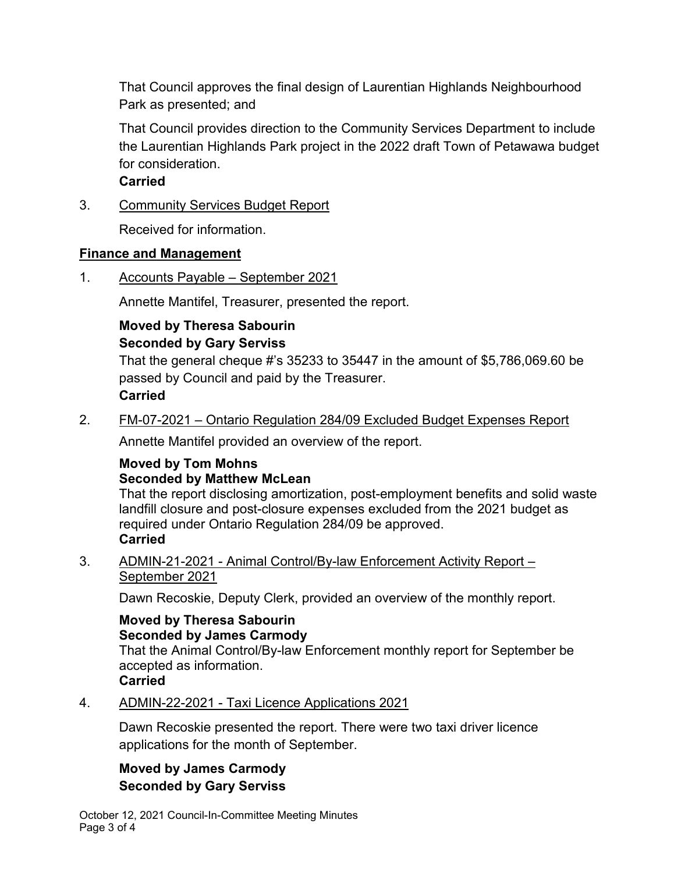That Council approves the final design of Laurentian Highlands Neighbourhood Park as presented; and

That Council provides direction to the Community Services Department to include the Laurentian Highlands Park project in the 2022 draft Town of Petawawa budget for consideration.

**Carried**

3. Community Services Budget Report

Received for information.

## **Finance and Management**

1. Accounts Payable – September 2021

Annette Mantifel, Treasurer, presented the report.

## **Moved by Theresa Sabourin Seconded by Gary Serviss**

That the general cheque #'s 35233 to 35447 in the amount of \$5,786,069.60 be passed by Council and paid by the Treasurer.

## **Carried**

2. FM-07-2021 – Ontario Regulation 284/09 Excluded Budget Expenses Report

Annette Mantifel provided an overview of the report.

## **Moved by Tom Mohns Seconded by Matthew McLean**

That the report disclosing amortization, post-employment benefits and solid waste landfill closure and post-closure expenses excluded from the 2021 budget as required under Ontario Regulation 284/09 be approved. **Carried**

3. ADMIN-21-2021 - Animal Control/By-law Enforcement Activity Report – September 2021

Dawn Recoskie, Deputy Clerk, provided an overview of the monthly report.

# **Moved by Theresa Sabourin Seconded by James Carmody**

That the Animal Control/By-law Enforcement monthly report for September be accepted as information.

# **Carried**

4. ADMIN-22-2021 - Taxi Licence Applications 2021

Dawn Recoskie presented the report. There were two taxi driver licence applications for the month of September.

# **Moved by James Carmody Seconded by Gary Serviss**